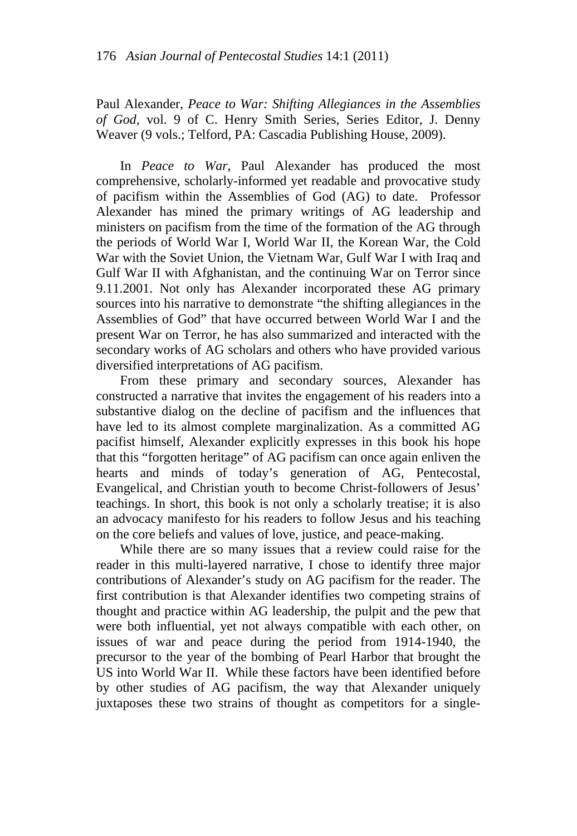Paul Alexander, *Peace to War: Shifting Allegiances in the Assemblies of God,* vol. 9 of C. Henry Smith Series, Series Editor, J. Denny Weaver (9 vols.; Telford, PA: Cascadia Publishing House, 2009).

In *Peace to War*, Paul Alexander has produced the most comprehensive, scholarly-informed yet readable and provocative study of pacifism within the Assemblies of God (AG) to date. Professor Alexander has mined the primary writings of AG leadership and ministers on pacifism from the time of the formation of the AG through the periods of World War I, World War II, the Korean War, the Cold War with the Soviet Union, the Vietnam War, Gulf War I with Iraq and Gulf War II with Afghanistan, and the continuing War on Terror since 9.11.2001. Not only has Alexander incorporated these AG primary sources into his narrative to demonstrate "the shifting allegiances in the Assemblies of God" that have occurred between World War I and the present War on Terror, he has also summarized and interacted with the secondary works of AG scholars and others who have provided various diversified interpretations of AG pacifism.

From these primary and secondary sources, Alexander has constructed a narrative that invites the engagement of his readers into a substantive dialog on the decline of pacifism and the influences that have led to its almost complete marginalization. As a committed AG pacifist himself, Alexander explicitly expresses in this book his hope that this "forgotten heritage" of AG pacifism can once again enliven the hearts and minds of today's generation of AG, Pentecostal, Evangelical, and Christian youth to become Christ-followers of Jesus' teachings. In short, this book is not only a scholarly treatise; it is also an advocacy manifesto for his readers to follow Jesus and his teaching on the core beliefs and values of love, justice, and peace-making.

While there are so many issues that a review could raise for the reader in this multi-layered narrative, I chose to identify three major contributions of Alexander's study on AG pacifism for the reader. The first contribution is that Alexander identifies two competing strains of thought and practice within AG leadership, the pulpit and the pew that were both influential, yet not always compatible with each other, on issues of war and peace during the period from 1914-1940, the precursor to the year of the bombing of Pearl Harbor that brought the US into World War II. While these factors have been identified before by other studies of AG pacifism, the way that Alexander uniquely juxtaposes these two strains of thought as competitors for a single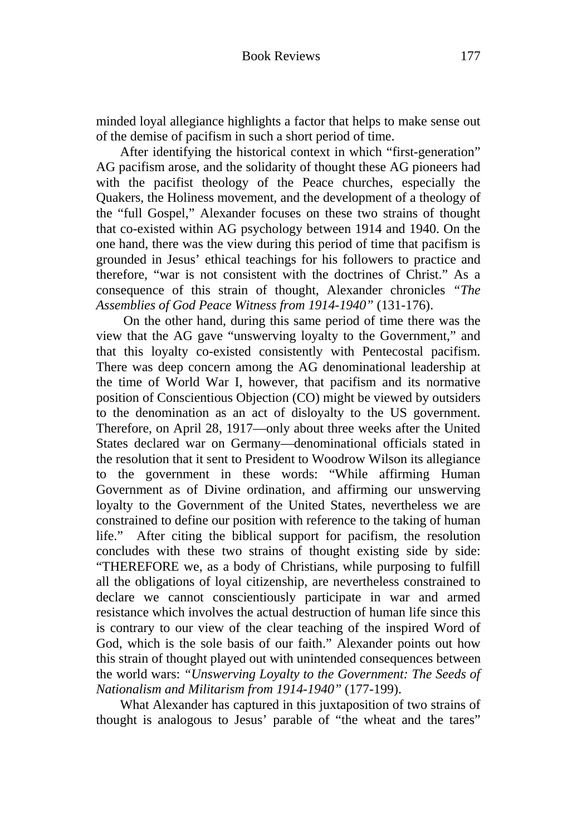minded loyal allegiance highlights a factor that helps to make sense out of the demise of pacifism in such a short period of time.

After identifying the historical context in which "first-generation" AG pacifism arose, and the solidarity of thought these AG pioneers had with the pacifist theology of the Peace churches, especially the Quakers, the Holiness movement, and the development of a theology of the "full Gospel," Alexander focuses on these two strains of thought that co-existed within AG psychology between 1914 and 1940. On the one hand, there was the view during this period of time that pacifism is grounded in Jesus' ethical teachings for his followers to practice and therefore, "war is not consistent with the doctrines of Christ." As a consequence of this strain of thought, Alexander chronicles *"The Assemblies of God Peace Witness from 1914-1940"* (131-176).

 On the other hand, during this same period of time there was the view that the AG gave "unswerving loyalty to the Government," and that this loyalty co-existed consistently with Pentecostal pacifism. There was deep concern among the AG denominational leadership at the time of World War I, however, that pacifism and its normative position of Conscientious Objection (CO) might be viewed by outsiders to the denomination as an act of disloyalty to the US government. Therefore, on April 28, 1917—only about three weeks after the United States declared war on Germany—denominational officials stated in the resolution that it sent to President to Woodrow Wilson its allegiance to the government in these words: "While affirming Human Government as of Divine ordination, and affirming our unswerving loyalty to the Government of the United States, nevertheless we are constrained to define our position with reference to the taking of human life." After citing the biblical support for pacifism, the resolution concludes with these two strains of thought existing side by side: "THEREFORE we, as a body of Christians, while purposing to fulfill all the obligations of loyal citizenship, are nevertheless constrained to declare we cannot conscientiously participate in war and armed resistance which involves the actual destruction of human life since this is contrary to our view of the clear teaching of the inspired Word of God, which is the sole basis of our faith." Alexander points out how this strain of thought played out with unintended consequences between the world wars: *"Unswerving Loyalty to the Government: The Seeds of Nationalism and Militarism from 1914-1940"* (177-199).

What Alexander has captured in this juxtaposition of two strains of thought is analogous to Jesus' parable of "the wheat and the tares"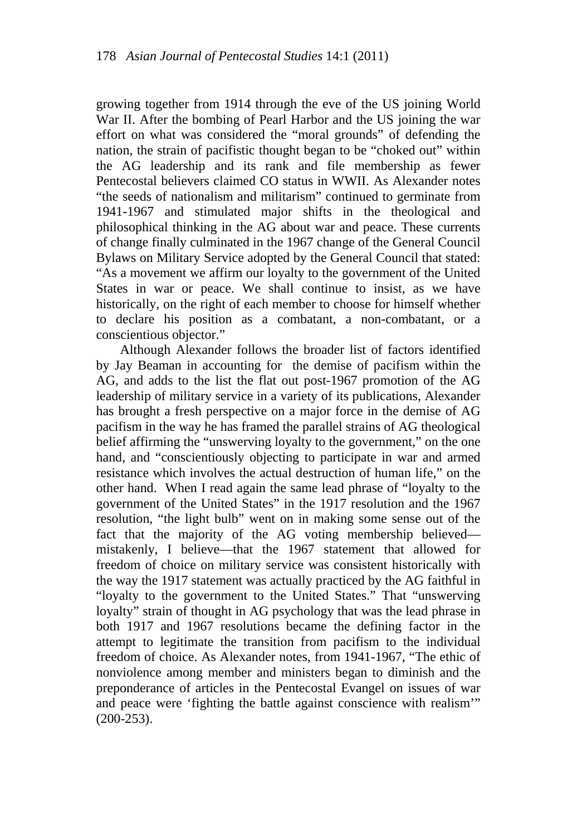growing together from 1914 through the eve of the US joining World War II. After the bombing of Pearl Harbor and the US joining the war effort on what was considered the "moral grounds" of defending the nation, the strain of pacifistic thought began to be "choked out" within the AG leadership and its rank and file membership as fewer Pentecostal believers claimed CO status in WWII. As Alexander notes "the seeds of nationalism and militarism" continued to germinate from 1941-1967 and stimulated major shifts in the theological and philosophical thinking in the AG about war and peace. These currents of change finally culminated in the 1967 change of the General Council Bylaws on Military Service adopted by the General Council that stated: "As a movement we affirm our loyalty to the government of the United States in war or peace. We shall continue to insist, as we have historically, on the right of each member to choose for himself whether to declare his position as a combatant, a non-combatant, or a conscientious objector."

Although Alexander follows the broader list of factors identified by Jay Beaman in accounting for the demise of pacifism within the AG, and adds to the list the flat out post-1967 promotion of the AG leadership of military service in a variety of its publications, Alexander has brought a fresh perspective on a major force in the demise of AG pacifism in the way he has framed the parallel strains of AG theological belief affirming the "unswerving loyalty to the government," on the one hand, and "conscientiously objecting to participate in war and armed resistance which involves the actual destruction of human life," on the other hand. When I read again the same lead phrase of "loyalty to the government of the United States" in the 1917 resolution and the 1967 resolution, "the light bulb" went on in making some sense out of the fact that the majority of the AG voting membership believed mistakenly, I believe—that the 1967 statement that allowed for freedom of choice on military service was consistent historically with the way the 1917 statement was actually practiced by the AG faithful in "loyalty to the government to the United States." That "unswerving loyalty" strain of thought in AG psychology that was the lead phrase in both 1917 and 1967 resolutions became the defining factor in the attempt to legitimate the transition from pacifism to the individual freedom of choice. As Alexander notes, from 1941-1967, "The ethic of nonviolence among member and ministers began to diminish and the preponderance of articles in the Pentecostal Evangel on issues of war and peace were 'fighting the battle against conscience with realism'" (200-253).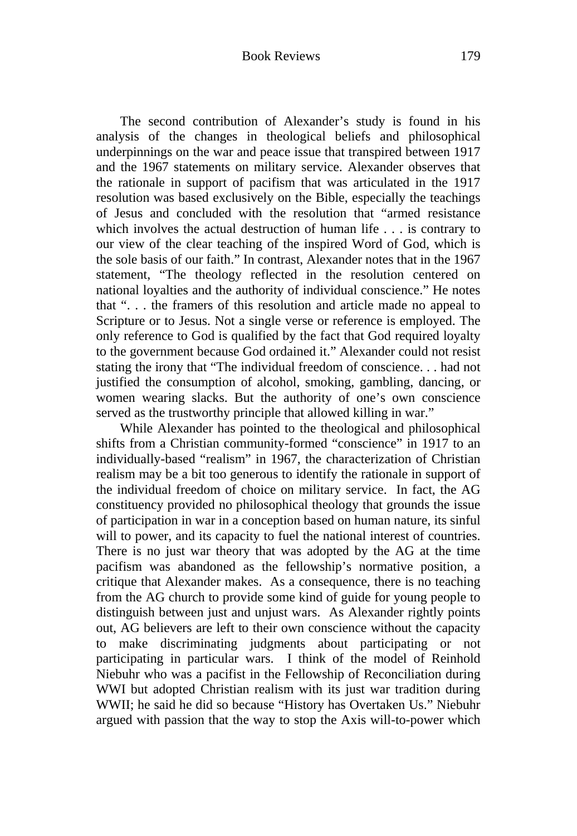The second contribution of Alexander's study is found in his analysis of the changes in theological beliefs and philosophical underpinnings on the war and peace issue that transpired between 1917 and the 1967 statements on military service. Alexander observes that the rationale in support of pacifism that was articulated in the 1917 resolution was based exclusively on the Bible, especially the teachings of Jesus and concluded with the resolution that "armed resistance which involves the actual destruction of human life . . . is contrary to our view of the clear teaching of the inspired Word of God, which is the sole basis of our faith." In contrast, Alexander notes that in the 1967 statement, "The theology reflected in the resolution centered on national loyalties and the authority of individual conscience." He notes that ". . . the framers of this resolution and article made no appeal to Scripture or to Jesus. Not a single verse or reference is employed. The only reference to God is qualified by the fact that God required loyalty to the government because God ordained it." Alexander could not resist stating the irony that "The individual freedom of conscience. . . had not justified the consumption of alcohol, smoking, gambling, dancing, or women wearing slacks. But the authority of one's own conscience served as the trustworthy principle that allowed killing in war."

While Alexander has pointed to the theological and philosophical shifts from a Christian community-formed "conscience" in 1917 to an individually-based "realism" in 1967, the characterization of Christian realism may be a bit too generous to identify the rationale in support of the individual freedom of choice on military service. In fact, the AG constituency provided no philosophical theology that grounds the issue of participation in war in a conception based on human nature, its sinful will to power, and its capacity to fuel the national interest of countries. There is no just war theory that was adopted by the AG at the time pacifism was abandoned as the fellowship's normative position, a critique that Alexander makes. As a consequence, there is no teaching from the AG church to provide some kind of guide for young people to distinguish between just and unjust wars. As Alexander rightly points out, AG believers are left to their own conscience without the capacity to make discriminating judgments about participating or not participating in particular wars. I think of the model of Reinhold Niebuhr who was a pacifist in the Fellowship of Reconciliation during WWI but adopted Christian realism with its just war tradition during WWII; he said he did so because "History has Overtaken Us." Niebuhr argued with passion that the way to stop the Axis will-to-power which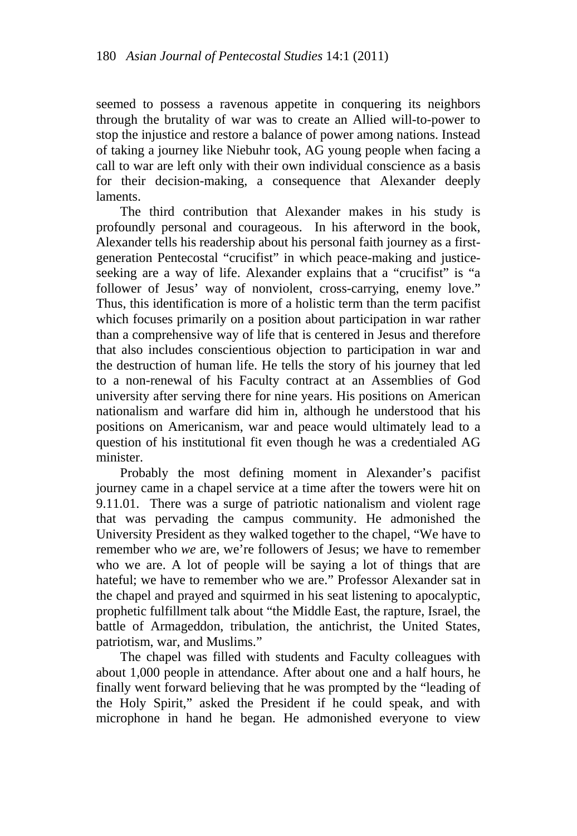seemed to possess a ravenous appetite in conquering its neighbors through the brutality of war was to create an Allied will-to-power to stop the injustice and restore a balance of power among nations. Instead of taking a journey like Niebuhr took, AG young people when facing a call to war are left only with their own individual conscience as a basis for their decision-making, a consequence that Alexander deeply laments.

The third contribution that Alexander makes in his study is profoundly personal and courageous. In his afterword in the book, Alexander tells his readership about his personal faith journey as a firstgeneration Pentecostal "crucifist" in which peace-making and justiceseeking are a way of life. Alexander explains that a "crucifist" is "a follower of Jesus' way of nonviolent, cross-carrying, enemy love." Thus, this identification is more of a holistic term than the term pacifist which focuses primarily on a position about participation in war rather than a comprehensive way of life that is centered in Jesus and therefore that also includes conscientious objection to participation in war and the destruction of human life. He tells the story of his journey that led to a non-renewal of his Faculty contract at an Assemblies of God university after serving there for nine years. His positions on American nationalism and warfare did him in, although he understood that his positions on Americanism, war and peace would ultimately lead to a question of his institutional fit even though he was a credentialed AG minister.

Probably the most defining moment in Alexander's pacifist journey came in a chapel service at a time after the towers were hit on 9.11.01. There was a surge of patriotic nationalism and violent rage that was pervading the campus community. He admonished the University President as they walked together to the chapel, "We have to remember who *we* are, we're followers of Jesus; we have to remember who we are. A lot of people will be saying a lot of things that are hateful; we have to remember who we are." Professor Alexander sat in the chapel and prayed and squirmed in his seat listening to apocalyptic, prophetic fulfillment talk about "the Middle East, the rapture, Israel, the battle of Armageddon, tribulation, the antichrist, the United States, patriotism, war, and Muslims."

The chapel was filled with students and Faculty colleagues with about 1,000 people in attendance. After about one and a half hours, he finally went forward believing that he was prompted by the "leading of the Holy Spirit," asked the President if he could speak, and with microphone in hand he began. He admonished everyone to view